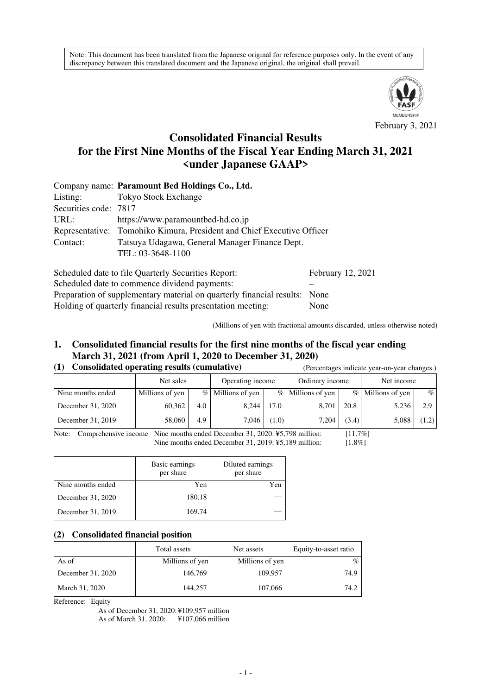Note: This document has been translated from the Japanese original for reference purposes only. In the event of any discrepancy between this translated document and the Japanese original, the original shall prevail.



February 3, 2021

# **Consolidated Financial Results for the First Nine Months of the Fiscal Year Ending March 31, 2021 <under Japanese GAAP>**

|                       | Company name: Paramount Bed Holdings Co., Ltd.                         |                   |  |  |  |  |  |  |
|-----------------------|------------------------------------------------------------------------|-------------------|--|--|--|--|--|--|
| Listing:              | <b>Tokyo Stock Exchange</b>                                            |                   |  |  |  |  |  |  |
| Securities code: 7817 |                                                                        |                   |  |  |  |  |  |  |
| URL:                  | https://www.paramountbed-hd.co.jp                                      |                   |  |  |  |  |  |  |
|                       | Representative: Tomohiko Kimura, President and Chief Executive Officer |                   |  |  |  |  |  |  |
| Contact:              | Tatsuya Udagawa, General Manager Finance Dept.                         |                   |  |  |  |  |  |  |
|                       | TEL: 03-3648-1100                                                      |                   |  |  |  |  |  |  |
|                       | Scheduled date to file Quarterly Securities Report:                    | February 12, 2021 |  |  |  |  |  |  |

Scheduled date to commence dividend payments: Preparation of supplementary material on quarterly financial results: None Holding of quarterly financial results presentation meeting: None

(Millions of yen with fractional amounts discarded, unless otherwise noted)

## **1. Consolidated financial results for the first nine months of the fiscal year ending March 31, 2021 (from April 1, 2020 to December 31, 2020)**

### **(1) Consolidated operating results (cumulative)** (Percentages indicate year-on-year changes.)

| $\sim$ $\sim$ $\sim$ |                 |     |                     | $\alpha$ creentages marcule year on year enanges. |                   |       |                   |       |
|----------------------|-----------------|-----|---------------------|---------------------------------------------------|-------------------|-------|-------------------|-------|
|                      | Net sales       |     | Operating income    |                                                   | Ordinary income   |       | Net income        |       |
| Nine months ended    | Millions of yen |     | $%$ Millions of yen |                                                   | % Millions of yen |       | % Millions of yen | $\%$  |
| December 31, 2020    | 60,362          | 4.0 | 8,244               | 17.0                                              | 8,701             | 20.8  | 5,236             | 2.9   |
| December 31, 2019    | 58,060          | 4.9 | 7.046               | (1.0)                                             | 7.204             | (3.4) | 5,088             | (1.2) |

Note: Comprehensive income Nine months ended December 31, 2020: ¥5,798 million: [11.7%] Nine months ended December 31, 2019:  $\frac{15,189 \text{ million}}{2015}$  [1.8%]

|                   | Basic earnings<br>per share | Diluted earnings<br>per share |
|-------------------|-----------------------------|-------------------------------|
| Nine months ended | Yen                         | Yen                           |
| December 31, 2020 | 180.18                      |                               |
| December 31, 2019 | 169.74                      |                               |

#### **(2) Consolidated financial position**

|                   | Total assets    | Net assets      | Equity-to-asset ratio |
|-------------------|-----------------|-----------------|-----------------------|
| As of             | Millions of yen | Millions of yen | $\%$                  |
| December 31, 2020 | 146,769         | 109,957         | 74.9                  |
| March 31, 2020    | 144.257         | 107,066         | 74.2                  |

Reference: Equity

As of December 31, 2020: ¥109,957 million As of March 31, 2020: ¥107,066 million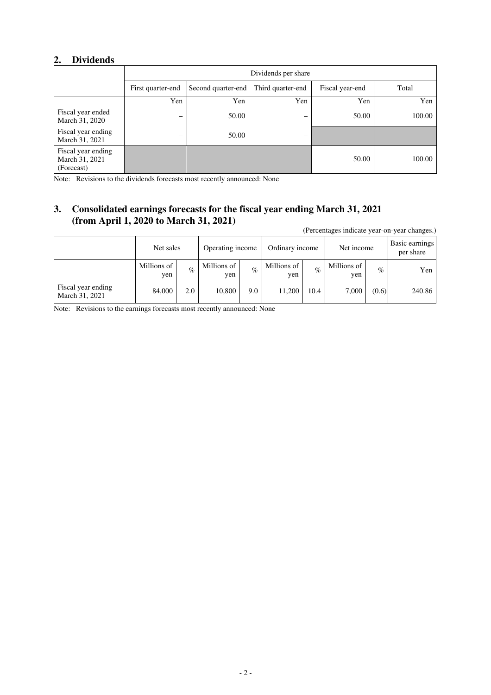## **2. Dividends**

|                                                    | Dividends per share      |                    |                          |                 |        |  |  |
|----------------------------------------------------|--------------------------|--------------------|--------------------------|-----------------|--------|--|--|
|                                                    | First quarter-end        | Second quarter-end | Third quarter-end        | Fiscal year-end | Total  |  |  |
|                                                    | Yen                      | Yen                | Yen                      | Yen             | Yen    |  |  |
| Fiscal year ended<br>March 31, 2020                | $\overline{\phantom{m}}$ | 50.00              | $\overline{\phantom{0}}$ | 50.00           | 100.00 |  |  |
| Fiscal year ending<br>March 31, 2021               | $\overline{\phantom{0}}$ | 50.00              |                          |                 |        |  |  |
| Fiscal year ending<br>March 31, 2021<br>(Forecast) |                          |                    |                          | 50.00           | 100.00 |  |  |

Note: Revisions to the dividends forecasts most recently announced: None

# **3. Consolidated earnings forecasts for the fiscal year ending March 31, 2021 (from April 1, 2020 to March 31, 2021)**

(Percentages indicate year-on-year changes.)

|                                      | Net sales          |      | Operating income   |      | Ordinary income    |      | Net income         |       | Basic earnings<br>per share |
|--------------------------------------|--------------------|------|--------------------|------|--------------------|------|--------------------|-------|-----------------------------|
|                                      | Millions of<br>yen | $\%$ | Millions of<br>yen | $\%$ | Millions of<br>yen | $\%$ | Millions of<br>yen | $\%$  | Yen                         |
| Fiscal year ending<br>March 31, 2021 | 84,000             | 2.0  | 10,800             | 9.0  | 11,200             | 10.4 | 7,000              | (0.6) | 240.86                      |

Note: Revisions to the earnings forecasts most recently announced: None